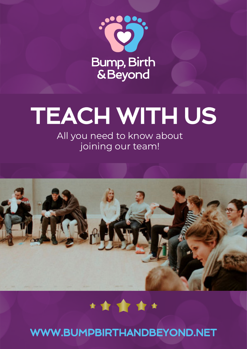

# TEACH WITH US

All you need to know about joining our team!



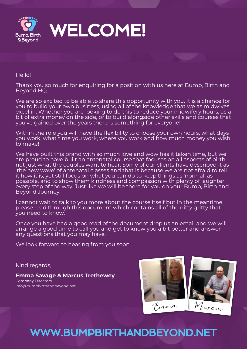

Hello!

Thank you so much for enquiring for a position with us here at Bump, Birth and Beyond HQ.

We are so excited to be able to share this opportunity with you. It is a chance for you to build your own business, using all of the knowledge that we as midwives excel in. Whether you are looking to do this to reduce your midwifery hours, as a bit of extra money on the side, or to build alongside other skills and courses that you've gained over the years there is something for everyone!

Within the role you will have the flexibility to choose your own hours, what days you work, what time you work, where you work and how much money you wish to make!

We have built this brand with so much love and wow has it taken time, but we are proud to have built an antenatal course that focuses on all aspects of birth, not just what the couples want to hear. Some of our clients have described it as 'the new wave' of antenatal classes and that is because we are not afraid to tell it how it is, yet still focus on what you can do to keep things as 'normal' as possible, and to show them kindness and compassion with plenty of laughter every step of the way. Just like we will be there for you on your Bump, Birth and Beyond Journey.

I cannot wait to talk to you more about the course itself but in the meantime, please read through this document which contains all of the nitty gritty that you need to know.

Once you have had a good read of the document drop us an email and we will arrange a good time to call you and get to know you a bit better and answer any questions that you may have.

We look forward to hearing from you soon

Kind regards,

**Emma Savage & Marcus Trethewey** Company Directors info@bumpbirthandbeyond.net

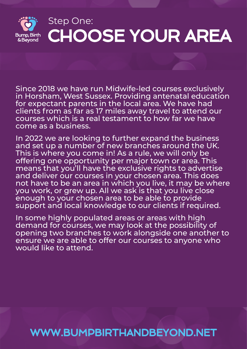

Since 2018 we have run Midwife-led courses exclusively in Horsham, West Sussex. Providing antenatal education for expectant parents in the local area. We have had clients from as far as 17 miles away travel to attend our courses which is a real testament to how far we have come as a business.

In 2022 we are looking to further expand the business and set up a number of new branches around the UK. This is where you come in! As a rule, we will only be offering one opportunity per major town or area. This means that you'll have the exclusive rights to advertise and deliver our courses in your chosen area. This does not have to be an area in which you live, it may be where you work, or grew up. All we ask is that you live close enough to your chosen area to be able to provide support and local knowledge to our clients if required.

In some highly populated areas or areas with high demand for courses, we may look at the possibility of opening two branches to work alongside one another to ensure we are able to offer our courses to anyone who would like to attend.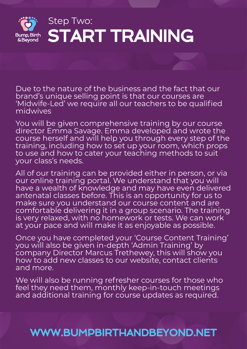

Due to the nature of the business and the fact that our brand's unique selling point is that our courses are 'Midwife-Led' we require all our teachers to be qualified midwives

You will be given comprehensive training by our course director Emma Savage. Emma developed and wrote the course herself and will help you through every step of the training, including how to set up your room, which props to use and how to cater your teaching methods to suit your class's needs.

All of our training can be provided either in person, or via our online training portal. We understand that you will have a wealth of knowledge and may have even delivered antenatal classes before. This is an opportunity for us to make sure you understand our course content and are comfortable delivering it in a group scenario. The training is very relaxed, with no homework or tests. We can work at your pace and will make it as enjoyable as possible.

Once you have completed your 'Course Content Training' you will also be given in-depth 'Admin Training' by company Director Marcus Trethewey, this will show you how to add new classes to our website, contact clients and more.

We will also be running refresher courses for those who feel they need them, monthly keep-in-touch meetings and additional training for course updates as required.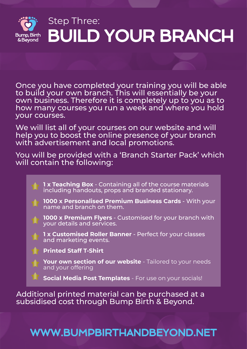

Once you have completed your training you will be able to build your own branch. This will essentially be your own business. Therefore it is completely up to you as to how many courses you run a week and where you hold your courses.

We will list all of your courses on our website and will help you to boost the online presence of your branch with advertisement and local promotions.

You will be provided with a 'Branch Starter Pack' which will contain the following:

**1 x Teaching Box** - Containing all of the course materials including handouts, props and branded stationary.

**1000 x Personalised Premium Business Cards** - With your name and branch on them.

**1000 x Premium Flyers** - Customised for your branch with your details and services.

**1 x Customised Roller Banner** - Perfect for your classes and marketing events.

**Printed Staff T-Shirt**

**Your own section of our website** - Tailored to your needs and your offering

**Social Media Post Templates** - For use on your socials!

Additional printed material can be purchased at a subsidised cost through Bump Birth & Beyond.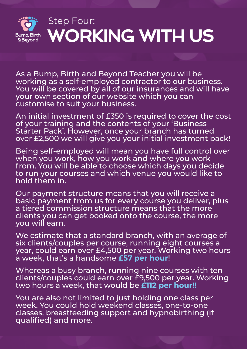

## Step Four: WORKING WITH US

As a Bump, Birth and Beyond Teacher you will be working as a self-employed contractor to our business. You will be covered by all of our insurances and will have your own section of our website which you can customise to suit your business.

An initial investment of £350 is required to cover the cost of your training and the contents of your 'Business Starter Pack'. However, once your branch has turned over £2,500 we will give you your initial investment back!

Being self-employed will mean you have full control over when you work, how you work and where you work from. You will be able to choose which days you decide to run your courses and which venue you would like to hold them in.

Our payment structure means that you will receive a basic payment from us for every course you deliver, plus a tiered commission structure means that the more clients you can get booked onto the course, the more you will earn.

We estimate that a standard branch, with an average of six clients/couples per course, running eight courses a year, could earn over £4,500 per year. Working two hours a week, that's a handsome **£57 per hour**!

Whereas a busy branch, running nine courses with ten clients/couples could earn over £9,500 per year. Working two hours a week, that would be **£112 per hour!!**

You are also not limited to just holding one class per week. You could hold weekend classes, one-to-one classes, breastfeeding support and hypnobirthing (if qualified) and more.